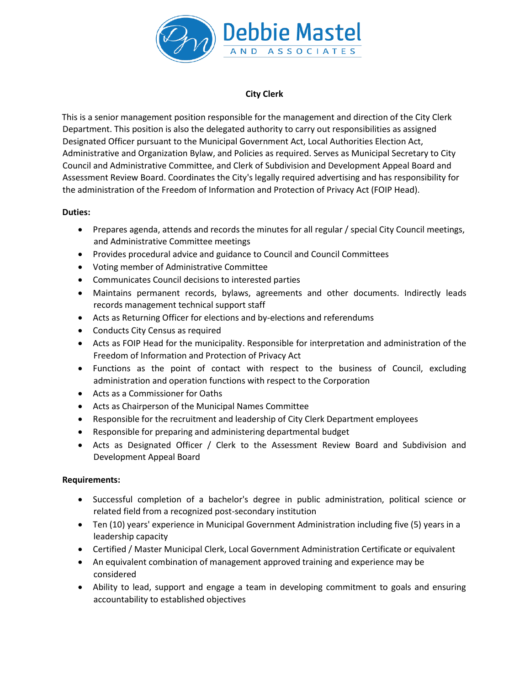

## **City Clerk**

This is a senior management position responsible for the management and direction of the City Clerk Department. This position is also the delegated authority to carry out responsibilities as assigned Designated Officer pursuant to the Municipal Government Act, Local Authorities Election Act, Administrative and Organization Bylaw, and Policies as required. Serves as Municipal Secretary to City Council and Administrative Committee, and Clerk of Subdivision and Development Appeal Board and Assessment Review Board. Coordinates the City's legally required advertising and has responsibility for the administration of the Freedom of Information and Protection of Privacy Act (FOIP Head).

## **Duties:**

- Prepares agenda, attends and records the minutes for all regular / special City Council meetings, and Administrative Committee meetings
- Provides procedural advice and guidance to Council and Council Committees
- Voting member of Administrative Committee
- Communicates Council decisions to interested parties
- Maintains permanent records, bylaws, agreements and other documents. Indirectly leads records management technical support staff
- Acts as Returning Officer for elections and by-elections and referendums
- Conducts City Census as required
- Acts as FOIP Head for the municipality. Responsible for interpretation and administration of the Freedom of Information and Protection of Privacy Act
- Functions as the point of contact with respect to the business of Council, excluding administration and operation functions with respect to the Corporation
- Acts as a Commissioner for Oaths
- Acts as Chairperson of the Municipal Names Committee
- Responsible for the recruitment and leadership of City Clerk Department employees
- Responsible for preparing and administering departmental budget
- Acts as Designated Officer / Clerk to the Assessment Review Board and Subdivision and Development Appeal Board

## **Requirements:**

- Successful completion of a bachelor's degree in public administration, political science or related field from a recognized post-secondary institution
- Ten (10) years' experience in Municipal Government Administration including five (5) years in a leadership capacity
- Certified / Master Municipal Clerk, Local Government Administration Certificate or equivalent
- An equivalent combination of management approved training and experience may be considered
- Ability to lead, support and engage a team in developing commitment to goals and ensuring accountability to established objectives